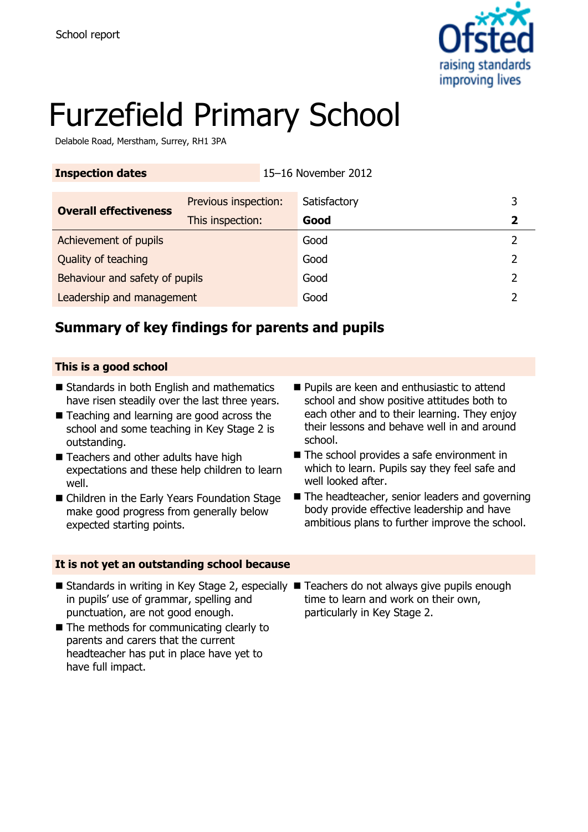

# Furzefield Primary School

Delabole Road, Merstham, Surrey, RH1 3PA

| <b>Inspection dates</b>        |                      | 15-16 November 2012 |              |   |
|--------------------------------|----------------------|---------------------|--------------|---|
| <b>Overall effectiveness</b>   | Previous inspection: |                     | Satisfactory | 3 |
|                                | This inspection:     |                     | Good         | 2 |
| Achievement of pupils          |                      |                     | Good         | 2 |
| Quality of teaching            |                      |                     | Good         | 2 |
| Behaviour and safety of pupils |                      |                     | Good         | フ |
| Leadership and management      |                      |                     | Good         |   |

## **Summary of key findings for parents and pupils**

#### **This is a good school**

- Standards in both English and mathematics have risen steadily over the last three years.
- Teaching and learning are good across the school and some teaching in Key Stage 2 is outstanding.
- Teachers and other adults have high expectations and these help children to learn well.
- Children in the Early Years Foundation Stage make good progress from generally below expected starting points.

#### **It is not yet an outstanding school because**

- **Pupils are keen and enthusiastic to attend** school and show positive attitudes both to each other and to their learning. They enjoy their lessons and behave well in and around school.
- The school provides a safe environment in which to learn. Pupils say they feel safe and well looked after.
- The headteacher, senior leaders and governing body provide effective leadership and have ambitious plans to further improve the school.
- Standards in writing in Key Stage 2, especially Teachers do not always give pupils enough in pupils' use of grammar, spelling and punctuation, are not good enough.
- The methods for communicating clearly to parents and carers that the current headteacher has put in place have yet to have full impact.
- time to learn and work on their own, particularly in Key Stage 2.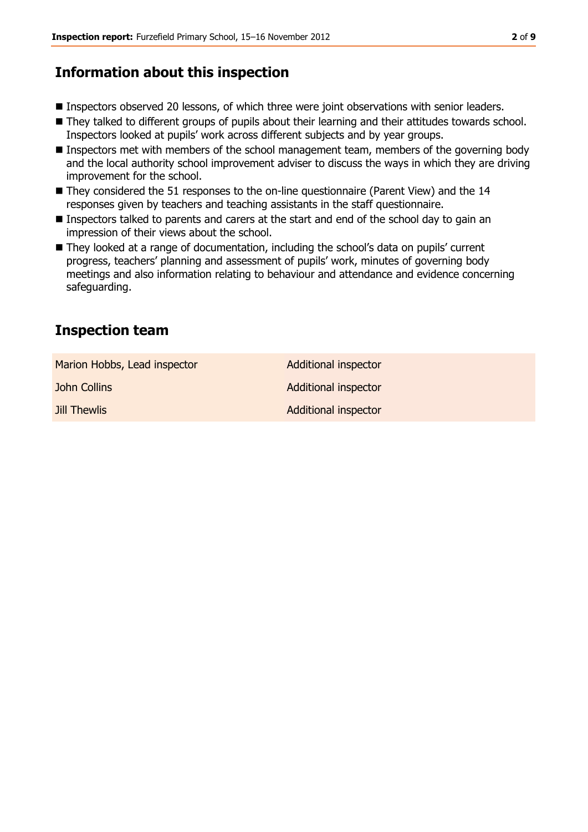## **Information about this inspection**

- **Inspectors observed 20 lessons, of which three were joint observations with senior leaders.**
- They talked to different groups of pupils about their learning and their attitudes towards school. Inspectors looked at pupils' work across different subjects and by year groups.
- Inspectors met with members of the school management team, members of the governing body and the local authority school improvement adviser to discuss the ways in which they are driving improvement for the school.
- They considered the 51 responses to the on-line questionnaire (Parent View) and the 14 responses given by teachers and teaching assistants in the staff questionnaire.
- Inspectors talked to parents and carers at the start and end of the school day to gain an impression of their views about the school.
- They looked at a range of documentation, including the school's data on pupils' current progress, teachers' planning and assessment of pupils' work, minutes of governing body meetings and also information relating to behaviour and attendance and evidence concerning safeguarding.

## **Inspection team**

| Marion Hobbs, Lead inspector | <b>Additional inspector</b> |
|------------------------------|-----------------------------|
| John Collins                 | Additional inspector        |
| <b>Jill Thewlis</b>          | Additional inspector        |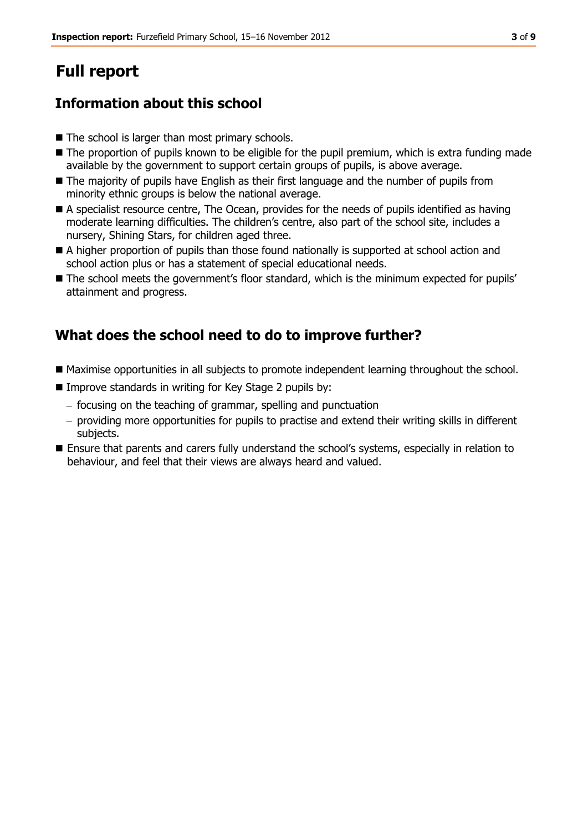# **Full report**

## **Information about this school**

- The school is larger than most primary schools.
- The proportion of pupils known to be eligible for the pupil premium, which is extra funding made available by the government to support certain groups of pupils, is above average.
- The majority of pupils have English as their first language and the number of pupils from minority ethnic groups is below the national average.
- A specialist resource centre, The Ocean, provides for the needs of pupils identified as having moderate learning difficulties. The children's centre, also part of the school site, includes a nursery, Shining Stars, for children aged three.
- A higher proportion of pupils than those found nationally is supported at school action and school action plus or has a statement of special educational needs.
- $\blacksquare$  The school meets the government's floor standard, which is the minimum expected for pupils' attainment and progress.

## **What does the school need to do to improve further?**

- Maximise opportunities in all subjects to promote independent learning throughout the school.
- Improve standards in writing for Key Stage 2 pupils by:
	- focusing on the teaching of grammar, spelling and punctuation
	- providing more opportunities for pupils to practise and extend their writing skills in different subjects.
- Ensure that parents and carers fully understand the school's systems, especially in relation to behaviour, and feel that their views are always heard and valued.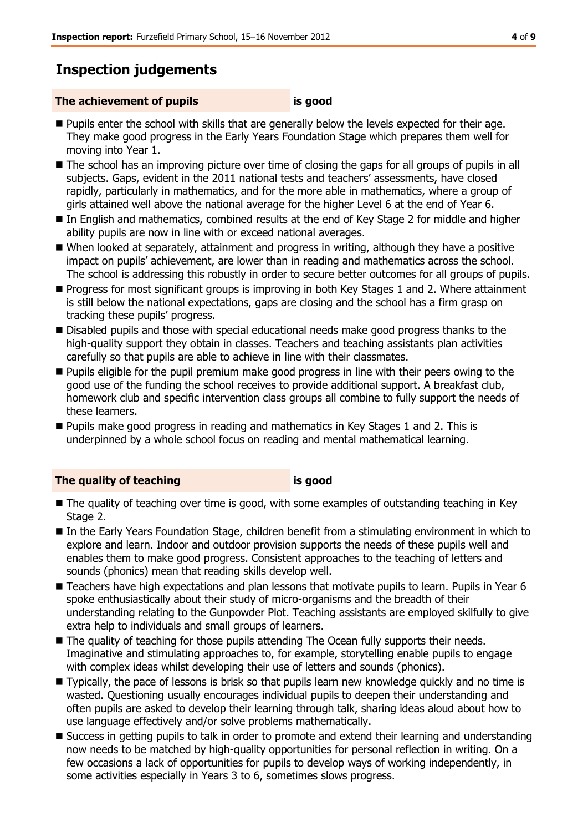## **Inspection judgements**

#### **The achievement of pupils is good**

- **Pupils enter the school with skills that are generally below the levels expected for their age.** They make good progress in the Early Years Foundation Stage which prepares them well for moving into Year 1.
- The school has an improving picture over time of closing the gaps for all groups of pupils in all subjects. Gaps, evident in the 2011 national tests and teachers' assessments, have closed rapidly, particularly in mathematics, and for the more able in mathematics, where a group of girls attained well above the national average for the higher Level 6 at the end of Year 6.
- In English and mathematics, combined results at the end of Key Stage 2 for middle and higher ability pupils are now in line with or exceed national averages.
- When looked at separately, attainment and progress in writing, although they have a positive impact on pupils' achievement, are lower than in reading and mathematics across the school. The school is addressing this robustly in order to secure better outcomes for all groups of pupils.
- **Progress for most significant groups is improving in both Key Stages 1 and 2. Where attainment** is still below the national expectations, gaps are closing and the school has a firm grasp on tracking these pupils' progress.
- Disabled pupils and those with special educational needs make good progress thanks to the high-quality support they obtain in classes. Teachers and teaching assistants plan activities carefully so that pupils are able to achieve in line with their classmates.
- **Pupils eligible for the pupil premium make good progress in line with their peers owing to the** good use of the funding the school receives to provide additional support. A breakfast club, homework club and specific intervention class groups all combine to fully support the needs of these learners.
- **Pupils make good progress in reading and mathematics in Key Stages 1 and 2. This is** underpinned by a whole school focus on reading and mental mathematical learning.

#### **The quality of teaching is good**

- The quality of teaching over time is good, with some examples of outstanding teaching in Key Stage 2.
- In the Early Years Foundation Stage, children benefit from a stimulating environment in which to explore and learn. Indoor and outdoor provision supports the needs of these pupils well and enables them to make good progress. Consistent approaches to the teaching of letters and sounds (phonics) mean that reading skills develop well.
- Teachers have high expectations and plan lessons that motivate pupils to learn. Pupils in Year 6 spoke enthusiastically about their study of micro-organisms and the breadth of their understanding relating to the Gunpowder Plot. Teaching assistants are employed skilfully to give extra help to individuals and small groups of learners.
- The quality of teaching for those pupils attending The Ocean fully supports their needs. Imaginative and stimulating approaches to, for example, storytelling enable pupils to engage with complex ideas whilst developing their use of letters and sounds (phonics).
- Typically, the pace of lessons is brisk so that pupils learn new knowledge quickly and no time is wasted. Questioning usually encourages individual pupils to deepen their understanding and often pupils are asked to develop their learning through talk, sharing ideas aloud about how to use language effectively and/or solve problems mathematically.
- Success in getting pupils to talk in order to promote and extend their learning and understanding now needs to be matched by high-quality opportunities for personal reflection in writing. On a few occasions a lack of opportunities for pupils to develop ways of working independently, in some activities especially in Years 3 to 6, sometimes slows progress.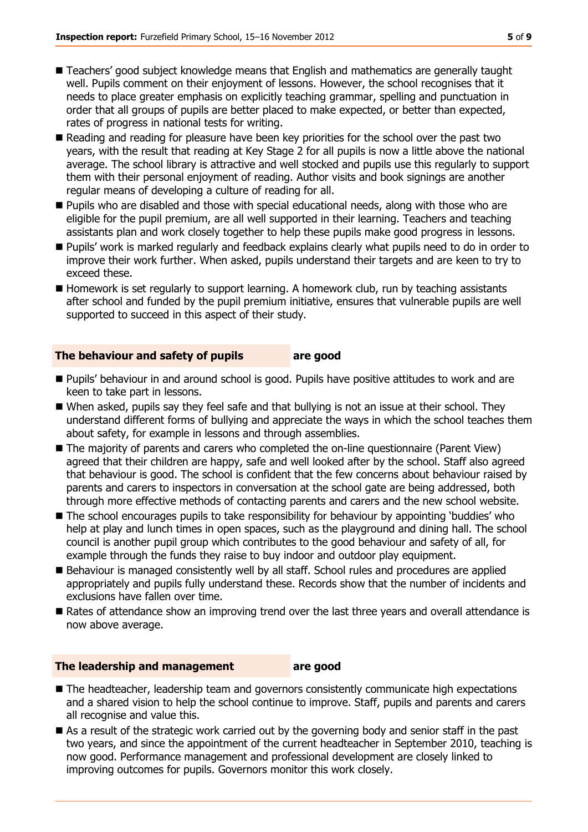- Teachers' good subject knowledge means that English and mathematics are generally taught well. Pupils comment on their enjoyment of lessons. However, the school recognises that it needs to place greater emphasis on explicitly teaching grammar, spelling and punctuation in order that all groups of pupils are better placed to make expected, or better than expected, rates of progress in national tests for writing.
- Reading and reading for pleasure have been key priorities for the school over the past two years, with the result that reading at Key Stage 2 for all pupils is now a little above the national average. The school library is attractive and well stocked and pupils use this regularly to support them with their personal enjoyment of reading. Author visits and book signings are another regular means of developing a culture of reading for all.
- **Pupils who are disabled and those with special educational needs, along with those who are** eligible for the pupil premium, are all well supported in their learning. Teachers and teaching assistants plan and work closely together to help these pupils make good progress in lessons.
- Pupils' work is marked regularly and feedback explains clearly what pupils need to do in order to improve their work further. When asked, pupils understand their targets and are keen to try to exceed these.
- Homework is set regularly to support learning. A homework club, run by teaching assistants after school and funded by the pupil premium initiative, ensures that vulnerable pupils are well supported to succeed in this aspect of their study.

#### **The behaviour and safety of pupils are good**

- **Pupils' behaviour in and around school is good. Pupils have positive attitudes to work and are** keen to take part in lessons.
- When asked, pupils say they feel safe and that bullying is not an issue at their school. They understand different forms of bullying and appreciate the ways in which the school teaches them about safety, for example in lessons and through assemblies.
- The majority of parents and carers who completed the on-line questionnaire (Parent View) agreed that their children are happy, safe and well looked after by the school. Staff also agreed that behaviour is good. The school is confident that the few concerns about behaviour raised by parents and carers to inspectors in conversation at the school gate are being addressed, both through more effective methods of contacting parents and carers and the new school website.
- The school encourages pupils to take responsibility for behaviour by appointing 'buddies' who help at play and lunch times in open spaces, such as the playground and dining hall. The school council is another pupil group which contributes to the good behaviour and safety of all, for example through the funds they raise to buy indoor and outdoor play equipment.
- Behaviour is managed consistently well by all staff. School rules and procedures are applied appropriately and pupils fully understand these. Records show that the number of incidents and exclusions have fallen over time.
- Rates of attendance show an improving trend over the last three years and overall attendance is now above average.

#### **The leadership and management are good**

- The headteacher, leadership team and governors consistently communicate high expectations and a shared vision to help the school continue to improve. Staff, pupils and parents and carers all recognise and value this.
- As a result of the strategic work carried out by the governing body and senior staff in the past two years, and since the appointment of the current headteacher in September 2010, teaching is now good. Performance management and professional development are closely linked to improving outcomes for pupils. Governors monitor this work closely.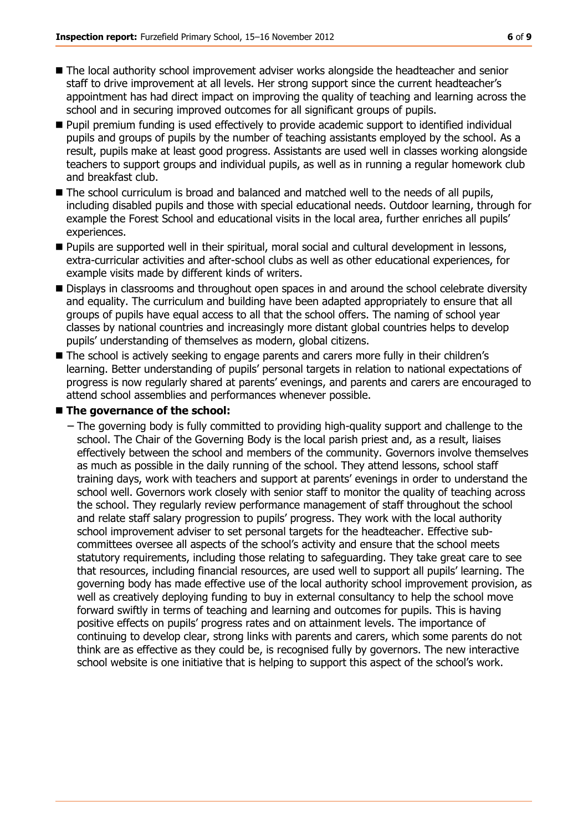- The local authority school improvement adviser works alongside the headteacher and senior staff to drive improvement at all levels. Her strong support since the current headteacher's appointment has had direct impact on improving the quality of teaching and learning across the school and in securing improved outcomes for all significant groups of pupils.
- Pupil premium funding is used effectively to provide academic support to identified individual pupils and groups of pupils by the number of teaching assistants employed by the school. As a result, pupils make at least good progress. Assistants are used well in classes working alongside teachers to support groups and individual pupils, as well as in running a regular homework club and breakfast club.
- The school curriculum is broad and balanced and matched well to the needs of all pupils, including disabled pupils and those with special educational needs. Outdoor learning, through for example the Forest School and educational visits in the local area, further enriches all pupils' experiences.
- **Pupils are supported well in their spiritual, moral social and cultural development in lessons,** extra-curricular activities and after-school clubs as well as other educational experiences, for example visits made by different kinds of writers.
- **Displays in classrooms and throughout open spaces in and around the school celebrate diversity** and equality. The curriculum and building have been adapted appropriately to ensure that all groups of pupils have equal access to all that the school offers. The naming of school year classes by national countries and increasingly more distant global countries helps to develop pupils' understanding of themselves as modern, global citizens.
- The school is actively seeking to engage parents and carers more fully in their children's learning. Better understanding of pupils' personal targets in relation to national expectations of progress is now regularly shared at parents' evenings, and parents and carers are encouraged to attend school assemblies and performances whenever possible.

#### **The governance of the school:**

− The governing body is fully committed to providing high-quality support and challenge to the school. The Chair of the Governing Body is the local parish priest and, as a result, liaises effectively between the school and members of the community. Governors involve themselves as much as possible in the daily running of the school. They attend lessons, school staff training days, work with teachers and support at parents' evenings in order to understand the school well. Governors work closely with senior staff to monitor the quality of teaching across the school. They regularly review performance management of staff throughout the school and relate staff salary progression to pupils' progress. They work with the local authority school improvement adviser to set personal targets for the headteacher. Effective subcommittees oversee all aspects of the school's activity and ensure that the school meets statutory requirements, including those relating to safeguarding. They take great care to see that resources, including financial resources, are used well to support all pupils' learning. The governing body has made effective use of the local authority school improvement provision, as well as creatively deploying funding to buy in external consultancy to help the school move forward swiftly in terms of teaching and learning and outcomes for pupils. This is having positive effects on pupils' progress rates and on attainment levels. The importance of continuing to develop clear, strong links with parents and carers, which some parents do not think are as effective as they could be, is recognised fully by governors. The new interactive school website is one initiative that is helping to support this aspect of the school's work.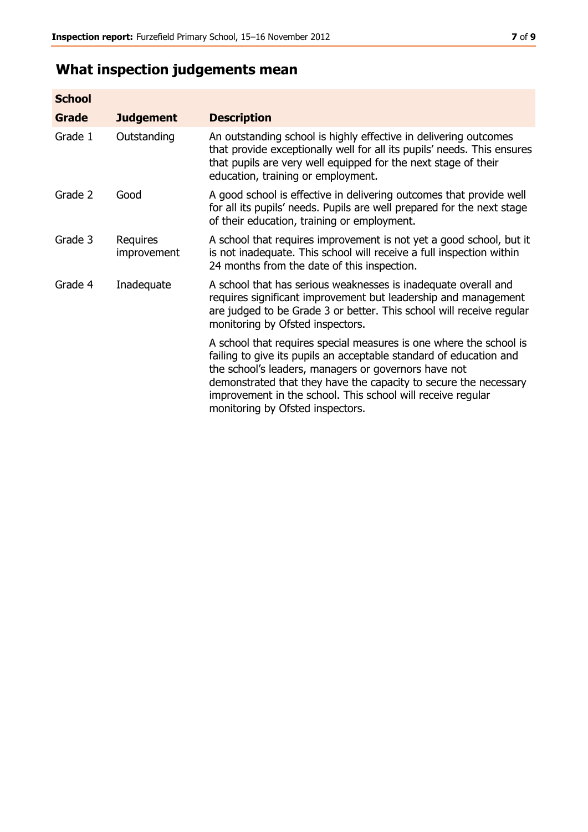## **What inspection judgements mean**

| <b>School</b> |                         |                                                                                                                                                                                                                                                                                                                                                                         |
|---------------|-------------------------|-------------------------------------------------------------------------------------------------------------------------------------------------------------------------------------------------------------------------------------------------------------------------------------------------------------------------------------------------------------------------|
| <b>Grade</b>  | <b>Judgement</b>        | <b>Description</b>                                                                                                                                                                                                                                                                                                                                                      |
| Grade 1       | Outstanding             | An outstanding school is highly effective in delivering outcomes<br>that provide exceptionally well for all its pupils' needs. This ensures<br>that pupils are very well equipped for the next stage of their<br>education, training or employment.                                                                                                                     |
| Grade 2       | Good                    | A good school is effective in delivering outcomes that provide well<br>for all its pupils' needs. Pupils are well prepared for the next stage<br>of their education, training or employment.                                                                                                                                                                            |
| Grade 3       | Requires<br>improvement | A school that requires improvement is not yet a good school, but it<br>is not inadequate. This school will receive a full inspection within<br>24 months from the date of this inspection.                                                                                                                                                                              |
| Grade 4       | Inadequate              | A school that has serious weaknesses is inadequate overall and<br>requires significant improvement but leadership and management<br>are judged to be Grade 3 or better. This school will receive regular<br>monitoring by Ofsted inspectors.                                                                                                                            |
|               |                         | A school that requires special measures is one where the school is<br>failing to give its pupils an acceptable standard of education and<br>the school's leaders, managers or governors have not<br>demonstrated that they have the capacity to secure the necessary<br>improvement in the school. This school will receive regular<br>monitoring by Ofsted inspectors. |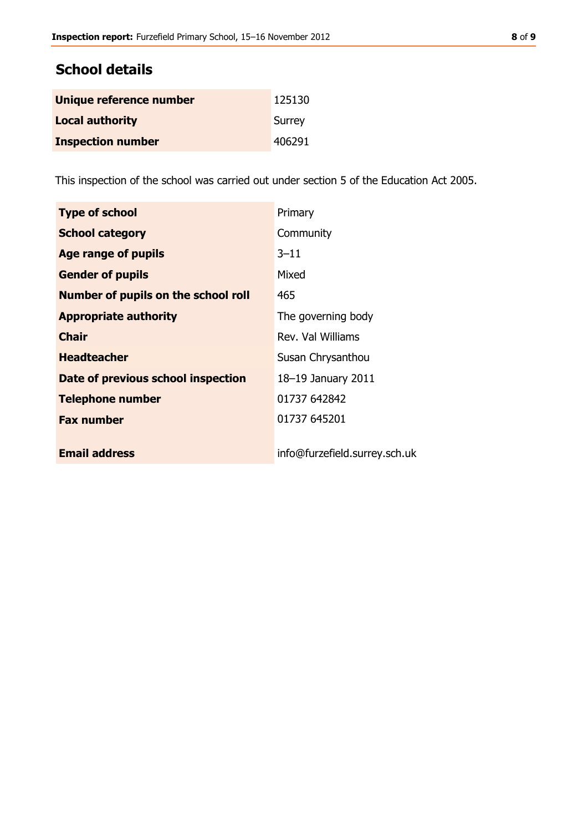### **School details**

| Unique reference number  | 125130 |
|--------------------------|--------|
| <b>Local authority</b>   | Surrey |
| <b>Inspection number</b> | 406291 |

This inspection of the school was carried out under section 5 of the Education Act 2005.

| <b>Type of school</b>                      | Primary                       |
|--------------------------------------------|-------------------------------|
| <b>School category</b>                     | Community                     |
| Age range of pupils                        | $3 - 11$                      |
| <b>Gender of pupils</b>                    | Mixed                         |
| <b>Number of pupils on the school roll</b> | 465                           |
| <b>Appropriate authority</b>               | The governing body            |
| <b>Chair</b>                               | Rev. Val Williams             |
| <b>Headteacher</b>                         | Susan Chrysanthou             |
| Date of previous school inspection         | 18-19 January 2011            |
| <b>Telephone number</b>                    | 01737 642842                  |
| <b>Fax number</b>                          | 01737 645201                  |
| <b>Email address</b>                       | info@furzefield.surrey.sch.uk |
|                                            |                               |